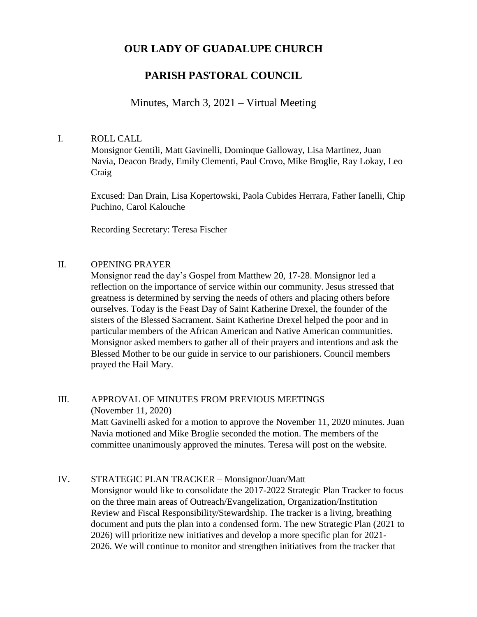# **OUR LADY OF GUADALUPE CHURCH**

## **PARISH PASTORAL COUNCIL**

## Minutes, March 3, 2021 – Virtual Meeting

### I. ROLL CALL

Monsignor Gentili, Matt Gavinelli, Dominque Galloway, Lisa Martinez, Juan Navia, Deacon Brady, Emily Clementi, Paul Crovo, Mike Broglie, Ray Lokay, Leo Craig

Excused: Dan Drain, Lisa Kopertowski, Paola Cubides Herrara, Father Ianelli, Chip Puchino, Carol Kalouche

Recording Secretary: Teresa Fischer

### II. OPENING PRAYER

Monsignor read the day's Gospel from Matthew 20, 17-28. Monsignor led a reflection on the importance of service within our community. Jesus stressed that greatness is determined by serving the needs of others and placing others before ourselves. Today is the Feast Day of Saint Katherine Drexel, the founder of the sisters of the Blessed Sacrament. Saint Katherine Drexel helped the poor and in particular members of the African American and Native American communities. Monsignor asked members to gather all of their prayers and intentions and ask the Blessed Mother to be our guide in service to our parishioners. Council members prayed the Hail Mary.

### III. APPROVAL OF MINUTES FROM PREVIOUS MEETINGS

(November 11, 2020)

Matt Gavinelli asked for a motion to approve the November 11, 2020 minutes. Juan Navia motioned and Mike Broglie seconded the motion. The members of the committee unanimously approved the minutes. Teresa will post on the website.

### IV. STRATEGIC PLAN TRACKER – Monsignor/Juan/Matt

Monsignor would like to consolidate the 2017-2022 Strategic Plan Tracker to focus on the three main areas of Outreach/Evangelization, Organization/Institution Review and Fiscal Responsibility/Stewardship. The tracker is a living, breathing document and puts the plan into a condensed form. The new Strategic Plan (2021 to 2026) will prioritize new initiatives and develop a more specific plan for 2021- 2026. We will continue to monitor and strengthen initiatives from the tracker that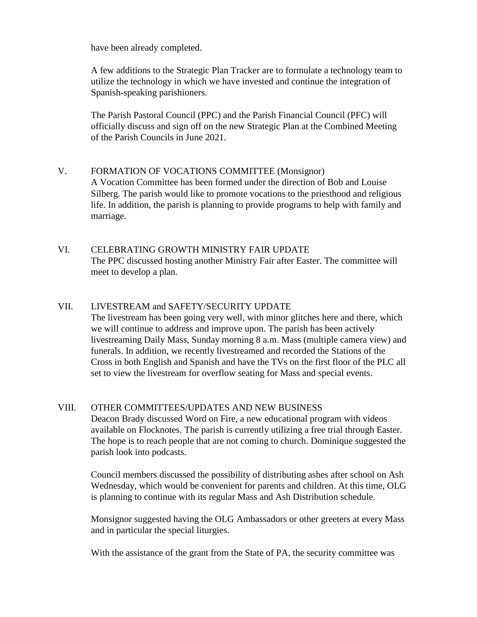have been already completed.

A few additions to the Strategic Plan Tracker are to formulate a technology team to utilize the technology in which we have invested and continue the integration of Spanish-speaking parishioners.

The Parish Pastoral Council (PPC) and the Parish Financial Council (PFC) will officially discuss and sign off on the new Strategic Plan at the Combined Meeting of the Parish Councils in June 2021.

# V. FORMATION OF VOCATIONS COMMITTEE (Monsignor)

A Vocation Committee has been formed under the direction of Bob and Louise Silberg. The parish would like to promote vocations to the priesthood and religious life. In addition, the parish is planning to provide programs to help with family and marriage.

### VI. CELEBRATING GROWTH MINISTRY FAIR UPDATE The PPC discussed hosting another Ministry Fair after Easter. The committee will meet to develop a plan.

### VII. LIVESTREAM and SAFETY/SECURITY UPDATE

The livestream has been going very well, with minor glitches here and there, which we will continue to address and improve upon. The parish has been actively livestreaming Daily Mass, Sunday morning 8 a.m. Mass (multiple camera view) and funerals. In addition, we recently livestreamed and recorded the Stations of the Cross in both English and Spanish and have the TVs on the first floor of the PLC all set to view the livestream for overflow seating for Mass and special events.

### VIII. OTHER COMMITTEES/UPDATES AND NEW BUSINESS

Deacon Brady discussed Word on Fire, a new educational program with videos available on Flocknotes. The parish is currently utilizing a free trial through Easter. The hope is to reach people that are not coming to church. Dominique suggested the parish look into podcasts.

Council members discussed the possibility of distributing ashes after school on Ash Wednesday, which would be convenient for parents and children. At this time, OLG is planning to continue with its regular Mass and Ash Distribution schedule.

Monsignor suggested having the OLG Ambassadors or other greeters at every Mass and in particular the special liturgies.

With the assistance of the grant from the State of PA, the security committee was